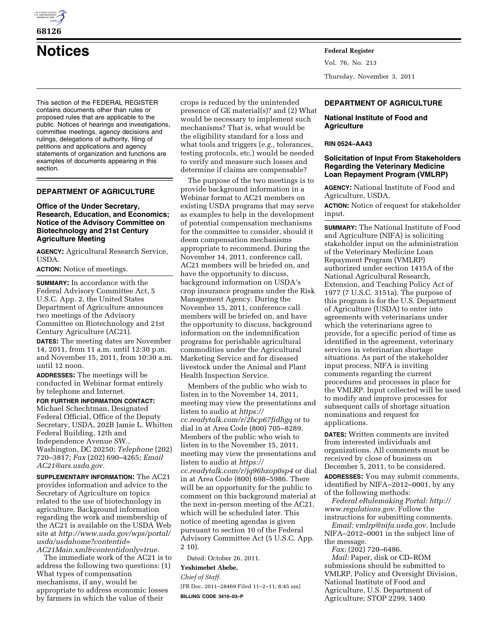

# **Notices Federal Register**

This section of the FEDERAL REGISTER contains documents other than rules or proposed rules that are applicable to the public. Notices of hearings and investigations, committee meetings, agency decisions and rulings, delegations of authority, filing of petitions and applications and agency statements of organization and functions are examples of documents appearing in this section.

# **DEPARTMENT OF AGRICULTURE**

# **Office of the Under Secretary, Research, Education, and Economics; Notice of the Advisory Committee on Biotechnology and 21st Century Agriculture Meeting**

**AGENCY:** Agricultural Research Service, USDA.

**ACTION:** Notice of meetings.

**SUMMARY:** In accordance with the Federal Advisory Committee Act, 5 U.S.C. App. 2, the United States Department of Agriculture announces two meetings of the Advisory Committee on Biotechnology and 21st Century Agriculture (AC21).

**DATES:** The meeting dates are November 14, 2011, from 11 a.m. until 12:30 p.m. and November 15, 2011, from 10:30 a.m. until 12 noon.

**ADDRESSES:** The meetings will be conducted in Webinar format entirely by telephone and Internet.

**FOR FURTHER INFORMATION CONTACT:**  Michael Schechtman, Designated Federal Official, Office of the Deputy Secretary, USDA, 202B Jamie L. Whitten Federal Building, 12th and Independence Avenue SW., Washington, DC 20250; *Telephone* (202) 720–3817; *Fax* (202) 690–4265; *Email [AC21@ars.usda.gov.](mailto:AC21@ars.usda.gov)* 

**SUPPLEMENTARY INFORMATION:** The AC21 provides information and advice to the Secretary of Agriculture on topics related to the use of biotechnology in agriculture. Background information regarding the work and membership of the AC21 is available on the USDA Web site at *[http://www.usda.gov/wps/portal/](http://www.usda.gov/wps/portal/usda/usdahome?contentid=AC21Main.xml&contentidonly=true)  [usda/usdahome?contentid=](http://www.usda.gov/wps/portal/usda/usdahome?contentid=AC21Main.xml&contentidonly=true) [AC21Main.xml&contentidonly=true.](http://www.usda.gov/wps/portal/usda/usdahome?contentid=AC21Main.xml&contentidonly=true)* 

The immediate work of the AC21 is to address the following two questions: (1) What types of compensation mechanisms, if any, would be appropriate to address economic losses by farmers in which the value of their

crops is reduced by the unintended presence of GE material(s)? and (2) What would be necessary to implement such mechanisms? That is, what would be the eligibility standard for a loss and what tools and triggers (*e.g.,* tolerances, testing protocols, etc.) would be needed to verify and measure such losses and determine if claims are compensable?

The purpose of the two meetings is to provide background information in a Webinar format to AC21 members on existing USDA programs that may serve as examples to help in the development of potential compensation mechanisms for the committee to consider, should it deem compensation mechanisms appropriate to recommend. During the November 14, 2011, conference call, AC21 members will be briefed on, and have the opportunity to discuss, background information on USDA's crop insurance programs under the Risk Management Agency. During the November 15, 2011, conference call members will be briefed on, and have the opportunity to discuss, background information on the indemnification programs for perishable agricultural commodities under the Agricultural Marketing Service and for diseased livestock under the Animal and Plant Health Inspection Service.

Members of the public who wish to listen in to the November 14, 2011, meeting may view the presentations and listen to audio at *[https://](https://cc.readytalk.com/r/2bcp67fidhgq) [cc.readytalk.com/r/2bcp67fidhgq](https://cc.readytalk.com/r/2bcp67fidhgq)* or to dial in at Area Code (800) 705–8289. Members of the public who wish to listen in to the November 15, 2011, meeting may view the presentations and listen to audio at *[https://](https://cc.readytalk.com/r/jq96hzop0sp4) [cc.readytalk.com/r/jq96hzop0sp4](https://cc.readytalk.com/r/jq96hzop0sp4)* or dial in at Area Code (800) 698–5986. There will be an opportunity for the public to comment on this background material at the next in-person meeting of the AC21, which will be scheduled later. This notice of meeting agendas is given pursuant to section 10 of the Federal Advisory Committee Act (5 U.S.C. App. 2 10).

Dated: October 26, 2011.

#### **Yeshimebet Abebe,**

*Chief of Staff.* 

[FR Doc. 2011–28469 Filed 11–2–11; 8:45 am] **BILLING CODE 3410–03–P** 

Vol. 76, No. 213 Thursday, November 3, 2011

# **DEPARTMENT OF AGRICULTURE**

# **National Institute of Food and Agriculture**

## **RIN 0524–AA43**

# **Solicitation of Input From Stakeholders Regarding the Veterinary Medicine Loan Repayment Program (VMLRP)**

**AGENCY:** National Institute of Food and Agriculture, USDA.

**ACTION:** Notice of request for stakeholder input.

**SUMMARY:** The National Institute of Food and Agriculture (NIFA) is soliciting stakeholder input on the administration of the Veterinary Medicine Loan Repayment Program (VMLRP) authorized under section 1415A of the National Agricultural Research, Extension, and Teaching Policy Act of 1977 (7 U.S.C. 3151a). The purpose of this program is for the U.S. Department of Agriculture (USDA) to enter into agreements with veterinarians under which the veterinarians agree to provide, for a specific period of time as identified in the agreement, veterinary services in veterinarian shortage situations. As part of the stakeholder input process, NIFA is inviting comments regarding the current procedures and processes in place for the VMLRP. Input collected will be used to modify and improve processes for subsequent calls of shortage situation nominations and request for applications.

**DATES:** Written comments are invited from interested individuals and organizations. All comments must be received by close of business on December 5, 2011, to be considered.

**ADDRESSES:** You may submit comments, identified by NIFA–2012–0001, by any of the following methods:

*Federal eRulemaking Portal: [http://](http://www.regulations.gov)  [www.regulations.gov.](http://www.regulations.gov)* Follow the instructions for submitting comments.

*Email: [vmlrp@nifa.usda.gov.](mailto:vmlrp@nifa.usda.gov)* Include NIFA–2012–0001 in the subject line of the message.

*Fax:* (202) 720–6486.

*Mail:* Paper, disk or CD–ROM submissions should be submitted to VMLRP, Policy and Oversight Division, National Institute of Food and Agriculture, U.S. Department of Agriculture; STOP 2299, 1400